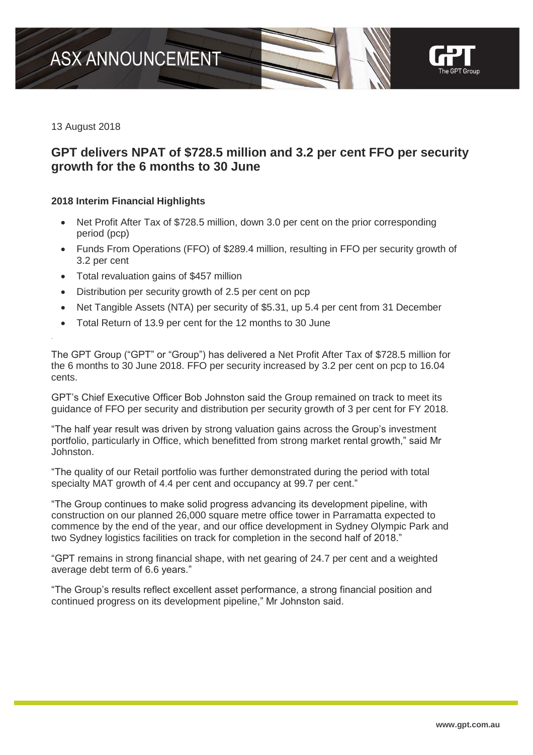

13 August 2018

.

# **GPT delivers NPAT of \$728.5 million and 3.2 per cent FFO per security growth for the 6 months to 30 June**

### **2018 Interim Financial Highlights**

- Net Profit After Tax of \$728.5 million, down 3.0 per cent on the prior corresponding period (pcp)
- Funds From Operations (FFO) of \$289.4 million, resulting in FFO per security growth of 3.2 per cent
- Total revaluation gains of \$457 million
- Distribution per security growth of 2.5 per cent on pcp
- Net Tangible Assets (NTA) per security of \$5.31, up 5.4 per cent from 31 December
- Total Return of 13.9 per cent for the 12 months to 30 June

The GPT Group ("GPT" or "Group") has delivered a Net Profit After Tax of \$728.5 million for the 6 months to 30 June 2018. FFO per security increased by 3.2 per cent on pcp to 16.04 cents.

GPT's Chief Executive Officer Bob Johnston said the Group remained on track to meet its guidance of FFO per security and distribution per security growth of 3 per cent for FY 2018.

"The half year result was driven by strong valuation gains across the Group's investment portfolio, particularly in Office, which benefitted from strong market rental growth," said Mr Johnston.

"The quality of our Retail portfolio was further demonstrated during the period with total specialty MAT growth of 4.4 per cent and occupancy at 99.7 per cent."

"The Group continues to make solid progress advancing its development pipeline, with construction on our planned 26,000 square metre office tower in Parramatta expected to commence by the end of the year, and our office development in Sydney Olympic Park and two Sydney logistics facilities on track for completion in the second half of 2018."

"GPT remains in strong financial shape, with net gearing of 24.7 per cent and a weighted average debt term of 6.6 years."

"The Group's results reflect excellent asset performance, a strong financial position and continued progress on its development pipeline," Mr Johnston said.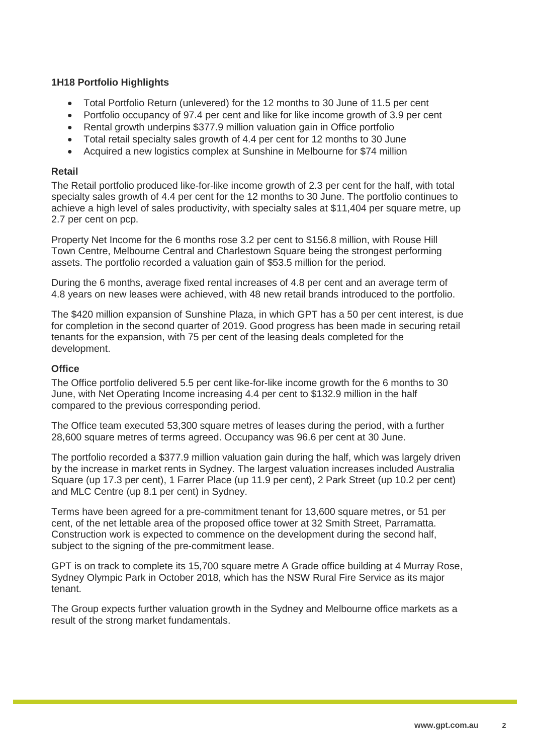# **1H18 Portfolio Highlights**

- Total Portfolio Return (unlevered) for the 12 months to 30 June of 11.5 per cent
- Portfolio occupancy of 97.4 per cent and like for like income growth of 3.9 per cent
- Rental growth underpins \$377.9 million valuation gain in Office portfolio
- Total retail specialty sales growth of 4.4 per cent for 12 months to 30 June
- Acquired a new logistics complex at Sunshine in Melbourne for \$74 million

### **Retail**

The Retail portfolio produced like-for-like income growth of 2.3 per cent for the half, with total specialty sales growth of 4.4 per cent for the 12 months to 30 June. The portfolio continues to achieve a high level of sales productivity, with specialty sales at \$11,404 per square metre, up 2.7 per cent on pcp.

Property Net Income for the 6 months rose 3.2 per cent to \$156.8 million, with Rouse Hill Town Centre, Melbourne Central and Charlestown Square being the strongest performing assets. The portfolio recorded a valuation gain of \$53.5 million for the period.

During the 6 months, average fixed rental increases of 4.8 per cent and an average term of 4.8 years on new leases were achieved, with 48 new retail brands introduced to the portfolio.

The \$420 million expansion of Sunshine Plaza, in which GPT has a 50 per cent interest, is due for completion in the second quarter of 2019. Good progress has been made in securing retail tenants for the expansion, with 75 per cent of the leasing deals completed for the development.

### **Office**

The Office portfolio delivered 5.5 per cent like-for-like income growth for the 6 months to 30 June, with Net Operating Income increasing 4.4 per cent to \$132.9 million in the half compared to the previous corresponding period.

The Office team executed 53,300 square metres of leases during the period, with a further 28,600 square metres of terms agreed. Occupancy was 96.6 per cent at 30 June.

The portfolio recorded a \$377.9 million valuation gain during the half, which was largely driven by the increase in market rents in Sydney. The largest valuation increases included Australia Square (up 17.3 per cent), 1 Farrer Place (up 11.9 per cent), 2 Park Street (up 10.2 per cent) and MLC Centre (up 8.1 per cent) in Sydney.

Terms have been agreed for a pre-commitment tenant for 13,600 square metres, or 51 per cent, of the net lettable area of the proposed office tower at 32 Smith Street, Parramatta. Construction work is expected to commence on the development during the second half, subject to the signing of the pre-commitment lease.

GPT is on track to complete its 15,700 square metre A Grade office building at 4 Murray Rose, Sydney Olympic Park in October 2018, which has the NSW Rural Fire Service as its major tenant.

The Group expects further valuation growth in the Sydney and Melbourne office markets as a result of the strong market fundamentals.